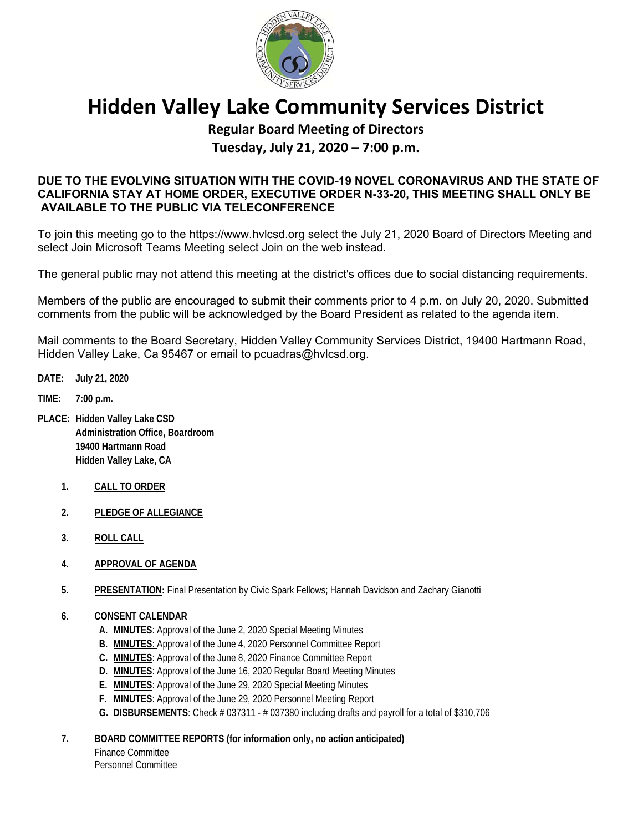

# **Hidden Valley Lake Community Services District**

# **Regular Board Meeting of Directors Tuesday, July 21, 2020 – 7:00 p.m.**

## **DUE TO THE EVOLVING SITUATION WITH THE COVID-19 NOVEL CORONAVIRUS AND THE STATE OF CALIFORNIA STAY AT HOME ORDER, EXECUTIVE ORDER N-33-20, THIS MEETING SHALL ONLY BE AVAILABLE TO THE PUBLIC VIA TELECONFERENCE**

To join this meeting go to the https://www.hvlcsd.org select the July 21, 2020 Board of Directors Meeting and select Join Microsoft Teams Meeting select Join on the web instead.

The general public may not attend this meeting at the district's offices due to social distancing requirements.

Members of the public are encouraged to submit their comments prior to 4 p.m. on July 20, 2020. Submitted comments from the public will be acknowledged by the Board President as related to the agenda item.

Mail comments to the Board Secretary, Hidden Valley Community Services District, 19400 Hartmann Road, Hidden Valley Lake, Ca 95467 or email to pcuadras@hvlcsd.org.

- **DATE: July 21, 2020**
- **TIME: 7:00 p.m.**
- **PLACE: Hidden Valley Lake CSD Administration Office, Boardroom 19400 Hartmann Road Hidden Valley Lake, CA** 
	- **1. CALL TO ORDER**
	- **2. PLEDGE OF ALLEGIANCE**
	- **3. ROLL CALL**
	- **4. APPROVAL OF AGENDA**
	- **5. PRESENTATION:** Final Presentation by Civic Spark Fellows; Hannah Davidson and Zachary Gianotti
	- **6. CONSENT CALENDAR** 
		- **A. MINUTES**: Approval of the June 2, 2020 Special Meeting Minutes
		- **B. MINUTES**: Approval of the June 4, 2020 Personnel Committee Report
		- **C. MINUTES**: Approval of the June 8, 2020 Finance Committee Report
		- **D. MINUTES**: Approval of the June 16, 2020 Regular Board Meeting Minutes
		- **E. MINUTES**: Approval of the June 29, 2020 Special Meeting Minutes
		- **F. MINUTES**: Approval of the June 29, 2020 Personnel Meeting Report
		- **G. DISBURSEMENTS**: Check # 037311 # 037380 including drafts and payroll for a total of \$310,706
	- **7. BOARD COMMITTEE REPORTS (for information only, no action anticipated)**

Finance Committee Personnel Committee